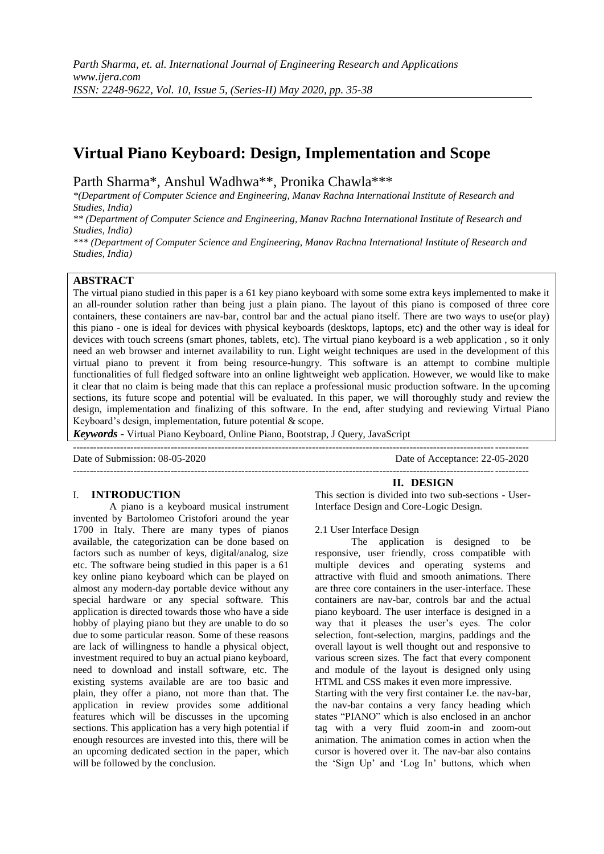# **Virtual Piano Keyboard: Design, Implementation and Scope**

Parth Sharma\*, Anshul Wadhwa\*\*, Pronika Chawla\*\*\*

*\*(Department of Computer Science and Engineering, Manav Rachna International Institute of Research and Studies, India)*

*\*\* (Department of Computer Science and Engineering, Manav Rachna International Institute of Research and Studies, India)*

*\*\*\* (Department of Computer Science and Engineering, Manav Rachna International Institute of Research and Studies, India)*

## **ABSTRACT**

The virtual piano studied in this paper is a 61 key piano keyboard with some some extra keys implemented to make it an all-rounder solution rather than being just a plain piano. The layout of this piano is composed of three core containers, these containers are nav-bar, control bar and the actual piano itself. There are two ways to use(or play) this piano - one is ideal for devices with physical keyboards (desktops, laptops, etc) and the other way is ideal for devices with touch screens (smart phones, tablets, etc). The virtual piano keyboard is a web application , so it only need an web browser and internet availability to run. Light weight techniques are used in the development of this virtual piano to prevent it from being resource-hungry. This software is an attempt to combine multiple functionalities of full fledged software into an online lightweight web application. However, we would like to make it clear that no claim is being made that this can replace a professional music production software. In the upcoming sections, its future scope and potential will be evaluated. In this paper, we will thoroughly study and review the design, implementation and finalizing of this software. In the end, after studying and reviewing Virtual Piano Keyboard"s design, implementation, future potential & scope.

---------------------------------------------------------------------------------------------------------------------------------------

*Keywords* **-** Virtual Piano Keyboard, Online Piano, Bootstrap, J Query, JavaScript

Date of Submission: 08-05-2020 Date of Acceptance: 22-05-2020

---------------------------------------------------------------------------------------------------------------------------------------

### I. **INTRODUCTION**

A piano is a keyboard musical instrument invented by Bartolomeo Cristofori around the year 1700 in Italy. There are many types of pianos available, the categorization can be done based on factors such as number of keys, digital/analog, size etc. The software being studied in this paper is a 61 key online piano keyboard which can be played on almost any modern-day portable device without any special hardware or any special software. This application is directed towards those who have a side hobby of playing piano but they are unable to do so due to some particular reason. Some of these reasons are lack of willingness to handle a physical object, investment required to buy an actual piano keyboard, need to download and install software, etc. The existing systems available are are too basic and plain, they offer a piano, not more than that. The application in review provides some additional features which will be discusses in the upcoming sections. This application has a very high potential if enough resources are invested into this, there will be an upcoming dedicated section in the paper, which will be followed by the conclusion.

**II. DESIGN** This section is divided into two sub-sections - User-Interface Design and Core-Logic Design.

#### 2.1 User Interface Design

The application is designed to be responsive, user friendly, cross compatible with multiple devices and operating systems and attractive with fluid and smooth animations. There are three core containers in the user-interface. These containers are nav-bar, controls bar and the actual piano keyboard. The user interface is designed in a way that it pleases the user's eyes. The color selection, font-selection, margins, paddings and the overall layout is well thought out and responsive to various screen sizes. The fact that every component and module of the layout is designed only using HTML and CSS makes it even more impressive.

Starting with the very first container I.e. the nav-bar, the nav-bar contains a very fancy heading which states "PIANO" which is also enclosed in an anchor tag with a very fluid zoom-in and zoom-out animation. The animation comes in action when the cursor is hovered over it. The nav-bar also contains the "Sign Up" and "Log In" buttons, which when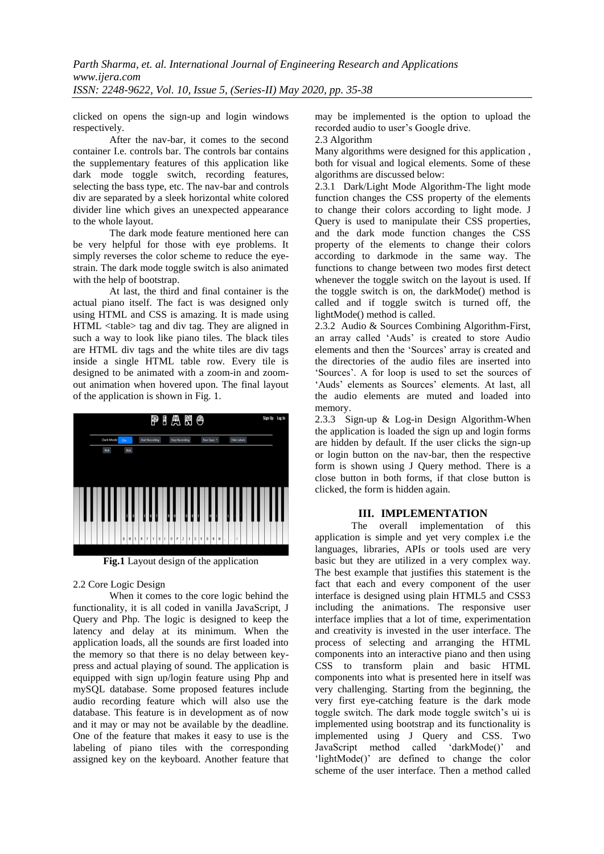clicked on opens the sign-up and login windows respectively.

After the nav-bar, it comes to the second container I.e. controls bar. The controls bar contains the supplementary features of this application like dark mode toggle switch, recording features, selecting the bass type, etc. The nav-bar and controls div are separated by a sleek horizontal white colored divider line which gives an unexpected appearance to the whole layout.

The dark mode feature mentioned here can be very helpful for those with eye problems. It simply reverses the color scheme to reduce the eyestrain. The dark mode toggle switch is also animated with the help of bootstrap.

At last, the third and final container is the actual piano itself. The fact is was designed only using HTML and CSS is amazing. It is made using HTML <table> tag and div tag. They are aligned in such a way to look like piano tiles. The black tiles are HTML div tags and the white tiles are div tags inside a single HTML table row. Every tile is designed to be animated with a zoom-in and zoomout animation when hovered upon. The final layout of the application is shown in Fig. 1.



**Fig.1** Layout design of the application

2.2 Core Logic Design

When it comes to the core logic behind the functionality, it is all coded in vanilla JavaScript, J Query and Php. The logic is designed to keep the latency and delay at its minimum. When the application loads, all the sounds are first loaded into the memory so that there is no delay between keypress and actual playing of sound. The application is equipped with sign up/login feature using Php and mySQL database. Some proposed features include audio recording feature which will also use the database. This feature is in development as of now and it may or may not be available by the deadline. One of the feature that makes it easy to use is the labeling of piano tiles with the corresponding assigned key on the keyboard. Another feature that may be implemented is the option to upload the recorded audio to user"s Google drive.

2.3 Algorithm

Many algorithms were designed for this application , both for visual and logical elements. Some of these algorithms are discussed below:

2.3.1 Dark/Light Mode Algorithm-The light mode function changes the CSS property of the elements to change their colors according to light mode. J Query is used to manipulate their CSS properties, and the dark mode function changes the CSS property of the elements to change their colors according to darkmode in the same way. The functions to change between two modes first detect whenever the toggle switch on the layout is used. If the toggle switch is on, the darkMode() method is called and if toggle switch is turned off, the lightMode() method is called.

2.3.2 Audio & Sources Combining Algorithm-First, an array called "Auds" is created to store Audio elements and then the 'Sources' array is created and the directories of the audio files are inserted into "Sources". A for loop is used to set the sources of 'Auds' elements as Sources' elements. At last, all the audio elements are muted and loaded into memory.

2.3.3 Sign-up & Log-in Design Algorithm-When the application is loaded the sign up and login forms are hidden by default. If the user clicks the sign-up or login button on the nav-bar, then the respective form is shown using J Query method. There is a close button in both forms, if that close button is clicked, the form is hidden again.

## **III. IMPLEMENTATION**

The overall implementation of this application is simple and yet very complex i.e the languages, libraries, APIs or tools used are very basic but they are utilized in a very complex way. The best example that justifies this statement is the fact that each and every component of the user interface is designed using plain HTML5 and CSS3 including the animations. The responsive user interface implies that a lot of time, experimentation and creativity is invested in the user interface. The process of selecting and arranging the HTML components into an interactive piano and then using CSS to transform plain and basic HTML components into what is presented here in itself was very challenging. Starting from the beginning, the very first eye-catching feature is the dark mode toggle switch. The dark mode toggle switch"s ui is implemented using bootstrap and its functionality is implemented using J Query and CSS. Two JavaScript method called "darkMode()" and "lightMode()" are defined to change the color scheme of the user interface. Then a method called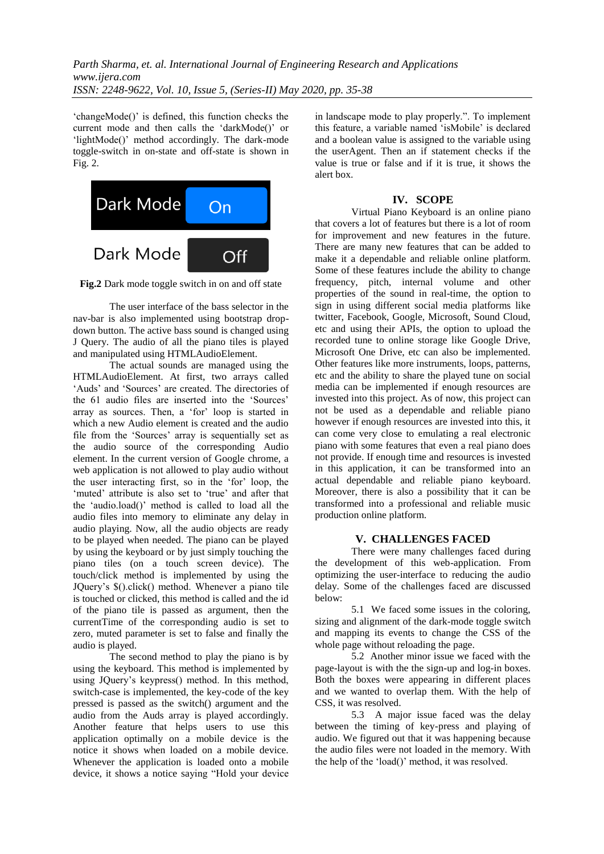'changeMode()' is defined, this function checks the current mode and then calls the 'darkMode()' or 'lightMode()' method accordingly. The dark-mode toggle-switch in on-state and off-state is shown in Fig. 2.



**Fig.2** Dark mode toggle switch in on and off state

The user interface of the bass selector in the nav-bar is also implemented using bootstrap dropdown button. The active bass sound is changed using J Query. The audio of all the piano tiles is played and manipulated using HTMLAudioElement.

The actual sounds are managed using the HTMLAudioElement. At first, two arrays called "Auds" and "Sources" are created. The directories of the 61 audio files are inserted into the 'Sources' array as sources. Then, a "for" loop is started in which a new Audio element is created and the audio file from the 'Sources' array is sequentially set as the audio source of the corresponding Audio element. In the current version of Google chrome, a web application is not allowed to play audio without the user interacting first, so in the 'for' loop, the 'muted' attribute is also set to 'true' and after that the "audio.load()" method is called to load all the audio files into memory to eliminate any delay in audio playing. Now, all the audio objects are ready to be played when needed. The piano can be played by using the keyboard or by just simply touching the piano tiles (on a touch screen device). The touch/click method is implemented by using the JQuery"s \$().click() method. Whenever a piano tile is touched or clicked, this method is called and the id of the piano tile is passed as argument, then the currentTime of the corresponding audio is set to zero, muted parameter is set to false and finally the audio is played.

The second method to play the piano is by using the keyboard. This method is implemented by using JQuery"s keypress() method. In this method, switch-case is implemented, the key-code of the key pressed is passed as the switch() argument and the audio from the Auds array is played accordingly. Another feature that helps users to use this application optimally on a mobile device is the notice it shows when loaded on a mobile device. Whenever the application is loaded onto a mobile device, it shows a notice saying "Hold your device

in landscape mode to play properly.". To implement this feature, a variable named "isMobile" is declared and a boolean value is assigned to the variable using the userAgent. Then an if statement checks if the value is true or false and if it is true, it shows the alert box.

### **IV. SCOPE**

Virtual Piano Keyboard is an online piano that covers a lot of features but there is a lot of room for improvement and new features in the future. There are many new features that can be added to make it a dependable and reliable online platform. Some of these features include the ability to change frequency, pitch, internal volume and other properties of the sound in real-time, the option to sign in using different social media platforms like twitter, Facebook, Google, Microsoft, Sound Cloud, etc and using their APIs, the option to upload the recorded tune to online storage like Google Drive, Microsoft One Drive, etc can also be implemented. Other features like more instruments, loops, patterns, etc and the ability to share the played tune on social media can be implemented if enough resources are invested into this project. As of now, this project can not be used as a dependable and reliable piano however if enough resources are invested into this, it can come very close to emulating a real electronic piano with some features that even a real piano does not provide. If enough time and resources is invested in this application, it can be transformed into an actual dependable and reliable piano keyboard. Moreover, there is also a possibility that it can be transformed into a professional and reliable music production online platform.

#### **V. CHALLENGES FACED**

There were many challenges faced during the development of this web-application. From optimizing the user-interface to reducing the audio delay. Some of the challenges faced are discussed below:

5.1 We faced some issues in the coloring, sizing and alignment of the dark-mode toggle switch and mapping its events to change the CSS of the whole page without reloading the page.

5.2 Another minor issue we faced with the page-layout is with the the sign-up and log-in boxes. Both the boxes were appearing in different places and we wanted to overlap them. With the help of CSS, it was resolved.

5.3 A major issue faced was the delay between the timing of key-press and playing of audio. We figured out that it was happening because the audio files were not loaded in the memory. With the help of the "load()" method, it was resolved.